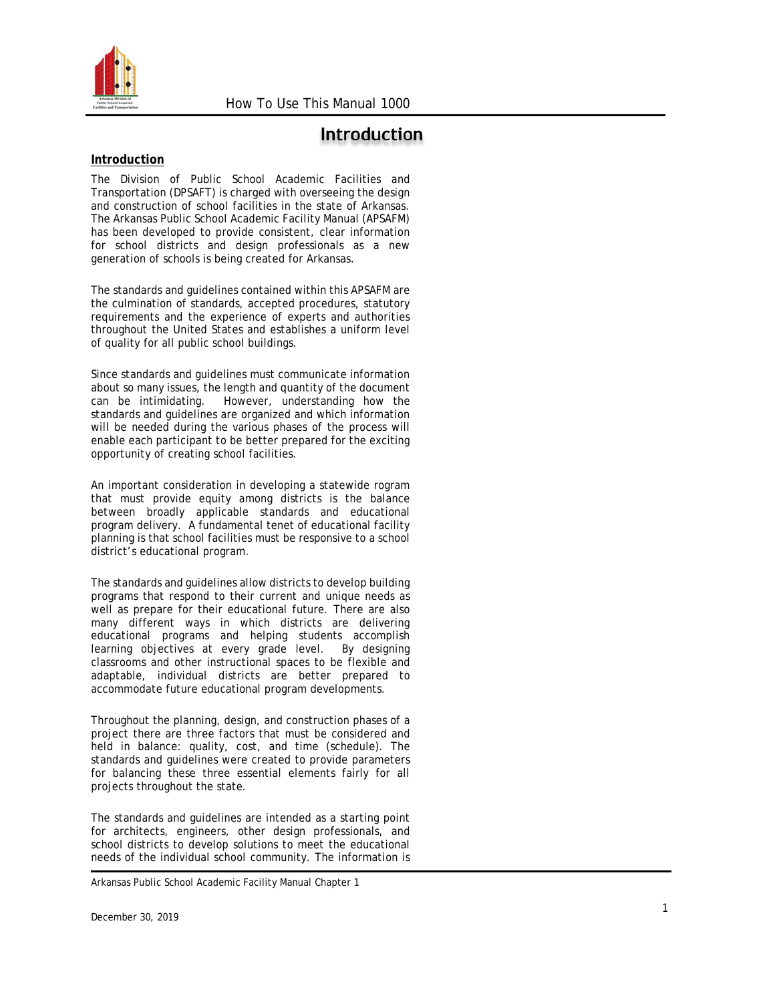

# **Introduction**

#### **Introduction**

The Division of Public School Academic Facilities and Transportation (DPSAFT) is charged with overseeing the design and construction of school facilities in the state of Arkansas. The Arkansas Public School Academic Facility Manual (APSAFM) has been developed to provide consistent, clear information for school districts and design professionals as a new generation of schools is being created for Arkansas.

The standards and guidelines contained within this APSAFM are the culmination of standards, accepted procedures, statutory requirements and the experience of experts and authorities throughout the United States and establishes a uniform level of quality for all public school buildings.

Since standards and guidelines must communicate information about so many issues, the length and quantity of the document can be intimidating. However, understanding how the standards and guidelines are organized and which information will be needed during the various phases of the process will enable each participant to be better prepared for the exciting opportunity of creating school facilities.

An important consideration in developing a statewide rogram that must provide equity among districts is the balance between broadly applicable standards and educational program delivery. A fundamental tenet of educational facility planning is that school facilities must be responsive to a school district's educational program.

The standards and guidelines allow districts to develop building programs that respond to their current and unique needs as well as prepare for their educational future. There are also many different ways in which districts are delivering educational programs and helping students accomplish learning objectives at every grade level. By designing classrooms and other instructional spaces to be flexible and adaptable, individual districts are better prepared to accommodate future educational program developments.

Throughout the planning, design, and construction phases of a project there are three factors that must be considered and held in balance: quality, cost, and time (schedule). The standards and guidelines were created to provide parameters for balancing these three essential elements fairly for all projects throughout the state.

The standards and guidelines are intended as a starting point for architects, engineers, other design professionals, and school districts to develop solutions to meet the educational needs of the individual school community. The information is

Arkansas Public School Academic Facility Manual Chapter 1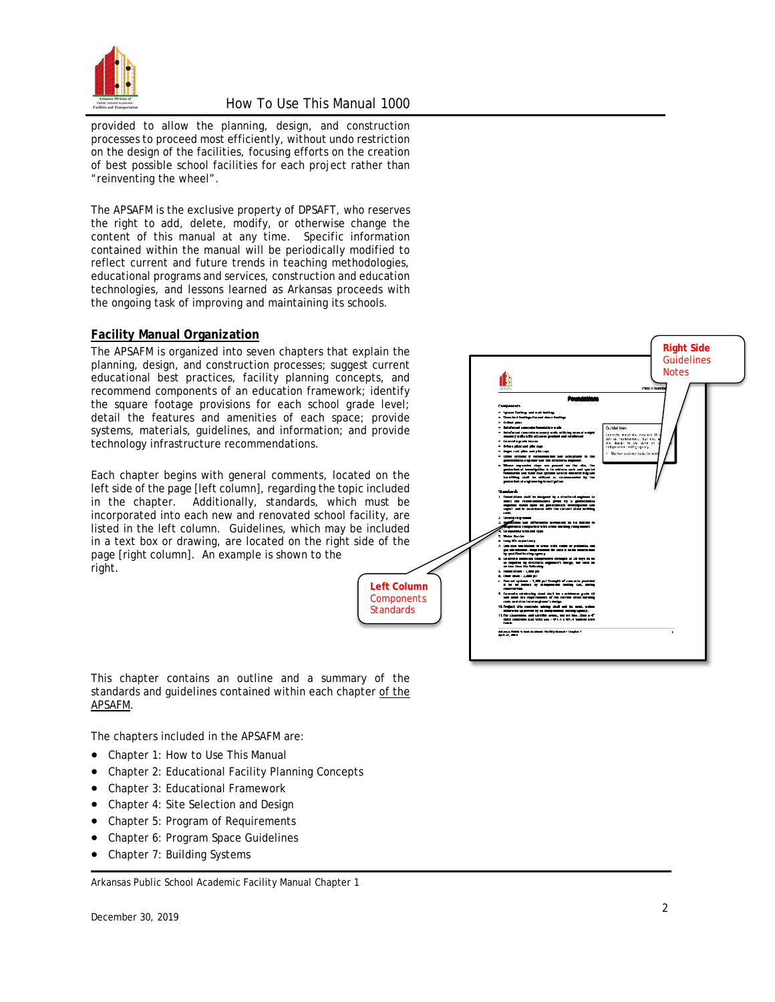

provided to allow the planning, design, and construction processes to proceed most efficiently, without undo restriction on the design of the facilities, focusing efforts on the creation of best possible school facilities for each project rather than "reinventing the wheel".

The APSAFM is the exclusive property of DPSAFT, who reserves the right to add, delete, modify, or otherwise change the content of this manual at any time. Specific information contained within the manual will be periodically modified to reflect current and future trends in teaching methodologies, educational programs and services, construction and education technologies, and lessons learned as Arkansas proceeds with the ongoing task of improving and maintaining its schools.

#### **Facility Manual Organization**

The APSAFM is organized into seven chapters that explain the planning, design, and construction processes; suggest current educational best practices, facility planning concepts, and recommend components of an education framework; identify the square footage provisions for each school grade level; detail the features and amenities of each space; provide systems, materials, guidelines, and information; and provide technology infrastructure recommendations.

Each chapter begins with general comments, located on the left side of the page [left column], regarding the topic included in the chapter. Additionally, standards, which must be incorporated into each new and renovated school facility, are listed in the left column. Guidelines, which may be included in a text box or drawing, are located on the right side of the page [right column]. An example is shown to the right.



This chapter contains an outline and a summary of the standards and guidelines contained within each chapter of the APSAFM.

The chapters included in the APSAFM are:

- Chapter 1: How to Use This Manual
- Chapter 2: Educational Facility Planning Concepts
- Chapter 3: Educational Framework
- Chapter 4: Site Selection and Design
- Chapter 5: Program of Requirements
- Chapter 6: Program Space Guidelines
- Chapter 7: Building Systems

Arkansas Public School Academic Facility Manual Chapter 1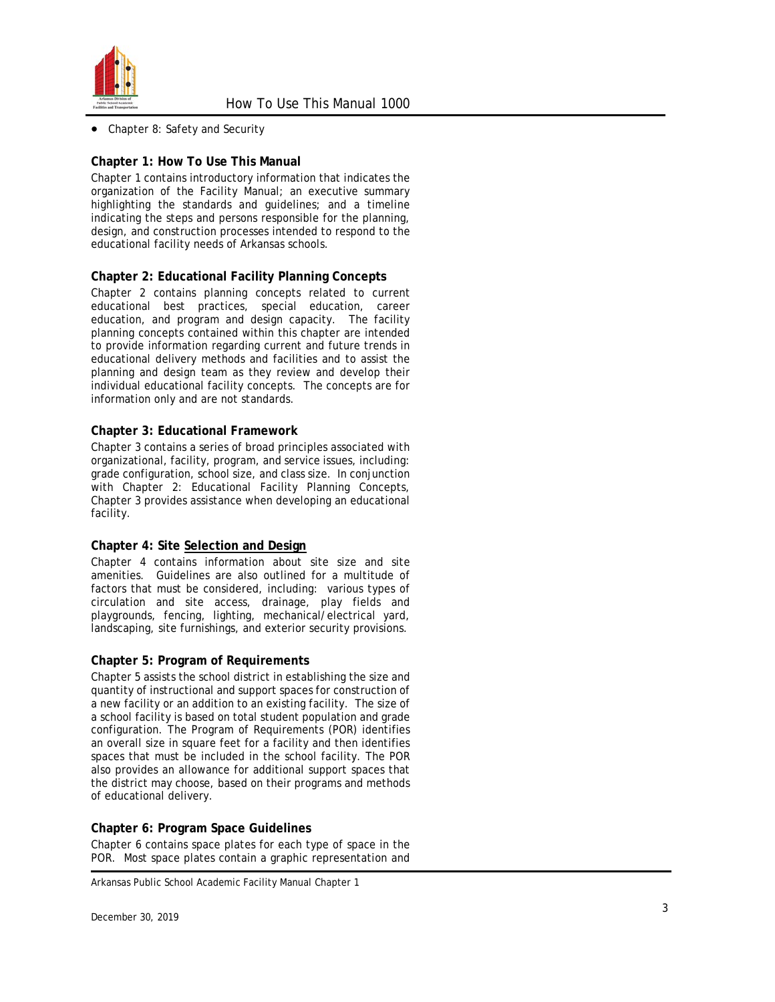

• Chapter 8: Safety and Security

## **Chapter 1: How To Use This Manual**

Chapter 1 contains introductory information that indicates the organization of the Facility Manual; an executive summary highlighting the standards and guidelines; and a timeline indicating the steps and persons responsible for the planning, design, and construction processes intended to respond to the educational facility needs of Arkansas schools.

## **Chapter 2: Educational Facility Planning Concepts**

Chapter 2 contains planning concepts related to current educational best practices, special education, career education, and program and design capacity. The facility planning concepts contained within this chapter are intended to provide information regarding current and future trends in educational delivery methods and facilities and to assist the planning and design team as they review and develop their individual educational facility concepts. The concepts are for information only and are not standards.

## **Chapter 3: Educational Framework**

Chapter 3 contains a series of broad principles associated with organizational, facility, program, and service issues, including: grade configuration, school size, and class size. In conjunction with Chapter 2: Educational Facility Planning Concepts, Chapter 3 provides assistance when developing an educational facility.

## **Chapter 4: Site Selection and Design**

Chapter 4 contains information about site size and site amenities. Guidelines are also outlined for a multitude of factors that must be considered, including: various types of circulation and site access, drainage, play fields and playgrounds, fencing, lighting, mechanical/electrical yard, landscaping, site furnishings, and exterior security provisions.

## **Chapter 5: Program of Requirements**

Chapter 5 assists the school district in establishing the size and quantity of instructional and support spaces for construction of a new facility or an addition to an existing facility. The size of a school facility is based on total student population and grade configuration. The Program of Requirements (POR) identifies an overall size in square feet for a facility and then identifies spaces that must be included in the school facility. The POR also provides an allowance for additional support spaces that the district may choose , based on their programs and methods of educational delivery.

## **Chapter 6: Program Space Guidelines**

Chapter 6 contains space plates for each type of space in the POR. Most space plates contain a graphic representation and

Arkansas Public School Academic Facility Manual Chapter 1